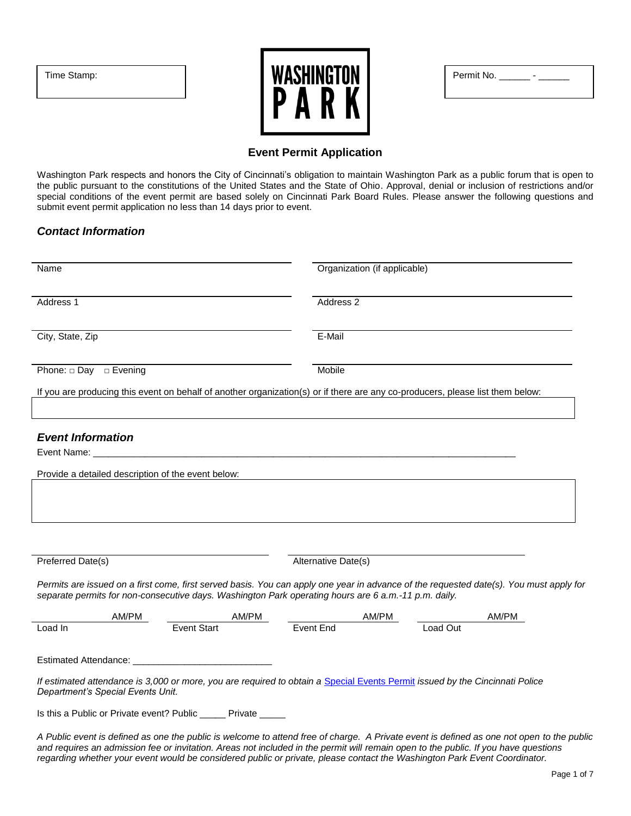

| Permit No. |  |
|------------|--|
|            |  |

# **Event Permit Application**

Washington Park respects and honors the City of Cincinnati's obligation to maintain Washington Park as a public forum that is open to the public pursuant to the constitutions of the United States and the State of Ohio. Approval, denial or inclusion of restrictions and/or special conditions of the event permit are based solely on Cincinnati Park Board Rules. Please answer the following questions and submit event permit application no less than 14 days prior to event.

# *Contact Information*

| Name                                                                                          |                                                                                                                                                                                                                                                                                                                                                                                                               |                     | Organization (if applicable) |       |  |
|-----------------------------------------------------------------------------------------------|---------------------------------------------------------------------------------------------------------------------------------------------------------------------------------------------------------------------------------------------------------------------------------------------------------------------------------------------------------------------------------------------------------------|---------------------|------------------------------|-------|--|
| Address 1                                                                                     |                                                                                                                                                                                                                                                                                                                                                                                                               | Address 2           |                              |       |  |
| City, State, Zip                                                                              |                                                                                                                                                                                                                                                                                                                                                                                                               | E-Mail              |                              |       |  |
| Phone: $\square$ Day $\square$ Evening                                                        |                                                                                                                                                                                                                                                                                                                                                                                                               | Mobile              |                              |       |  |
|                                                                                               | If you are producing this event on behalf of another organization(s) or if there are any co-producers, please list them below:                                                                                                                                                                                                                                                                                |                     |                              |       |  |
| <b>Event Information</b><br>Event Name:<br>Provide a detailed description of the event below: |                                                                                                                                                                                                                                                                                                                                                                                                               |                     |                              |       |  |
|                                                                                               |                                                                                                                                                                                                                                                                                                                                                                                                               |                     |                              |       |  |
| Preferred Date(s)                                                                             |                                                                                                                                                                                                                                                                                                                                                                                                               | Alternative Date(s) |                              |       |  |
|                                                                                               | Permits are issued on a first come, first served basis. You can apply one year in advance of the requested date(s). You must apply for<br>separate permits for non-consecutive days. Washington Park operating hours are 6 a.m.-11 p.m. daily.                                                                                                                                                                |                     |                              |       |  |
| AM/PM                                                                                         | AM/PM                                                                                                                                                                                                                                                                                                                                                                                                         |                     | AM/PM                        | AM/PM |  |
| Load In                                                                                       | <b>Event Start</b>                                                                                                                                                                                                                                                                                                                                                                                            | Event End           | Load Out                     |       |  |
| Estimated Attendance:                                                                         |                                                                                                                                                                                                                                                                                                                                                                                                               |                     |                              |       |  |
| Department's Special Events Unit.                                                             | If estimated attendance is 3,000 or more, you are required to obtain a Special Events Permit issued by the Cincinnati Police                                                                                                                                                                                                                                                                                  |                     |                              |       |  |
|                                                                                               | Is this a Public or Private event? Public ______ Private _____                                                                                                                                                                                                                                                                                                                                                |                     |                              |       |  |
|                                                                                               | A Public event is defined as one the public is welcome to attend free of charge. A Private event is defined as one not open to the public<br>and requires an admission fee or invitation. Areas not included in the permit will remain open to the public. If you have questions<br>regarding whether your event would be considered public or private, please contact the Washington Park Event Coordinator. |                     |                              |       |  |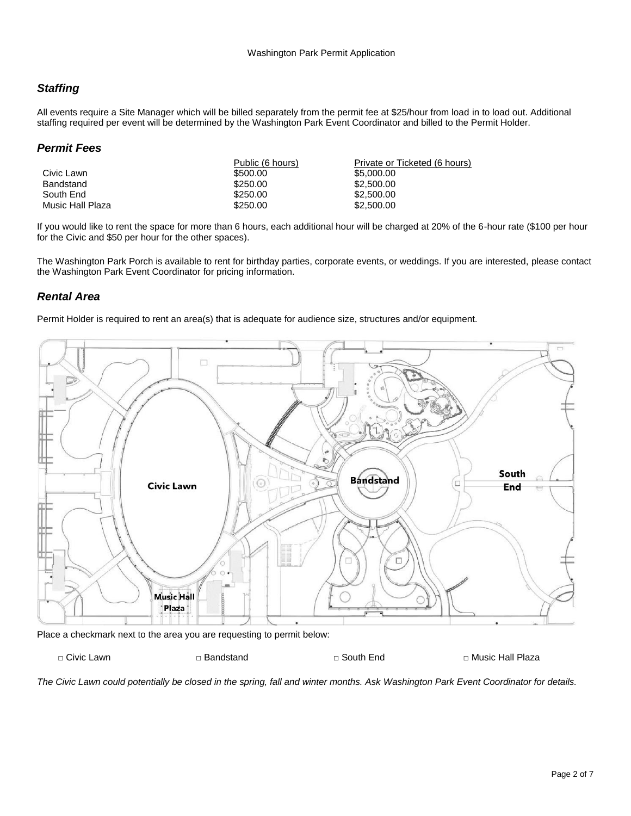# *Staffing*

All events require a Site Manager which will be billed separately from the permit fee at \$25/hour from load in to load out. Additional staffing required per event will be determined by the Washington Park Event Coordinator and billed to the Permit Holder.

# *Permit Fees*

|                  | Public (6 hours) | Private or Ticketed (6 hours) |
|------------------|------------------|-------------------------------|
| Civic Lawn       | \$500.00         | \$5,000,00                    |
| Bandstand        | \$250.00         | \$2,500,00                    |
| South End        | \$250.00         | \$2,500,00                    |
| Music Hall Plaza | \$250.00         | \$2,500,00                    |

If you would like to rent the space for more than 6 hours, each additional hour will be charged at 20% of the 6-hour rate (\$100 per hour for the Civic and \$50 per hour for the other spaces).

The Washington Park Porch is available to rent for birthday parties, corporate events, or weddings. If you are interested, please contact the Washington Park Event Coordinator for pricing information.

# *Rental Area*

Permit Holder is required to rent an area(s) that is adequate for audience size, structures and/or equipment.



*The Civic Lawn could potentially be closed in the spring, fall and winter months. Ask Washington Park Event Coordinator for details.*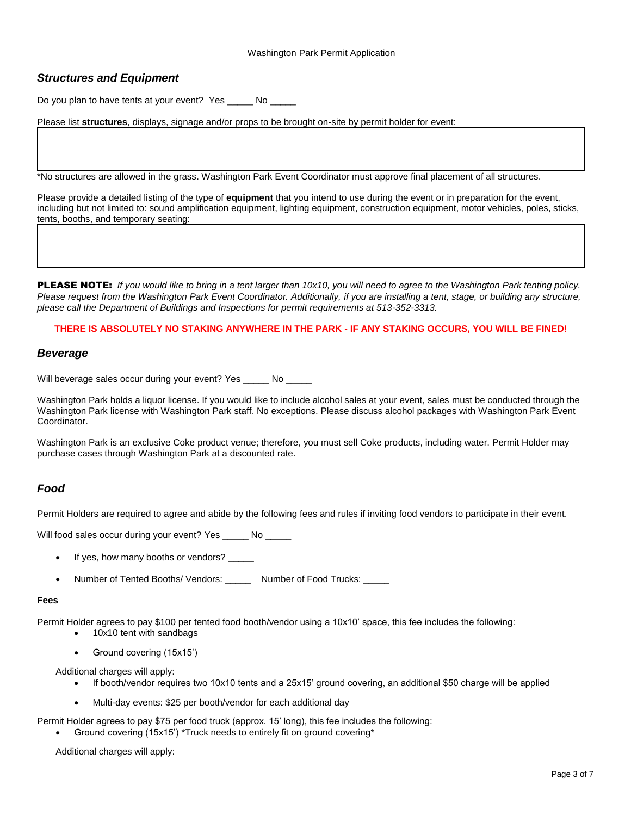# *Structures and Equipment*

Do you plan to have tents at your event? Yes No

Please list **structures**, displays, signage and/or props to be brought on-site by permit holder for event:

\*No structures are allowed in the grass. Washington Park Event Coordinator must approve final placement of all structures.

Please provide a detailed listing of the type of **equipment** that you intend to use during the event or in preparation for the event, including but not limited to: sound amplification equipment, lighting equipment, construction equipment, motor vehicles, poles, sticks, tents, booths, and temporary seating:

PLEASE NOTE: *If you would like to bring in a tent larger than 10x10, you will need to agree to the Washington Park tenting policy. Please request from the Washington Park Event Coordinator. Additionally, if you are installing a tent, stage, or building any structure, please call the Department of Buildings and Inspections for permit requirements at 513-352-3313.*

## **THERE IS ABSOLUTELY NO STAKING ANYWHERE IN THE PARK - IF ANY STAKING OCCURS, YOU WILL BE FINED!**

## *Beverage*

Will beverage sales occur during your event? Yes \_\_\_\_\_ No \_\_\_\_\_

Washington Park holds a liquor license. If you would like to include alcohol sales at your event, sales must be conducted through the Washington Park license with Washington Park staff. No exceptions. Please discuss alcohol packages with Washington Park Event Coordinator.

Washington Park is an exclusive Coke product venue; therefore, you must sell Coke products, including water. Permit Holder may purchase cases through Washington Park at a discounted rate.

# *Food*

Permit Holders are required to agree and abide by the following fees and rules if inviting food vendors to participate in their event.

Will food sales occur during your event? Yes No

If yes, how many booths or vendors?

Number of Tented Booths/ Vendors: \_\_\_\_\_\_ Number of Food Trucks: \_\_\_

## **Fees**

Permit Holder agrees to pay \$100 per tented food booth/vendor using a 10x10' space, this fee includes the following:

- 10x10 tent with sandbags
- Ground covering (15x15')

Additional charges will apply:

- If booth/vendor requires two 10x10 tents and a 25x15' ground covering, an additional \$50 charge will be applied
- Multi-day events: \$25 per booth/vendor for each additional day

Permit Holder agrees to pay \$75 per food truck (approx. 15' long), this fee includes the following:

• Ground covering (15x15') \*Truck needs to entirely fit on ground covering\*

Additional charges will apply: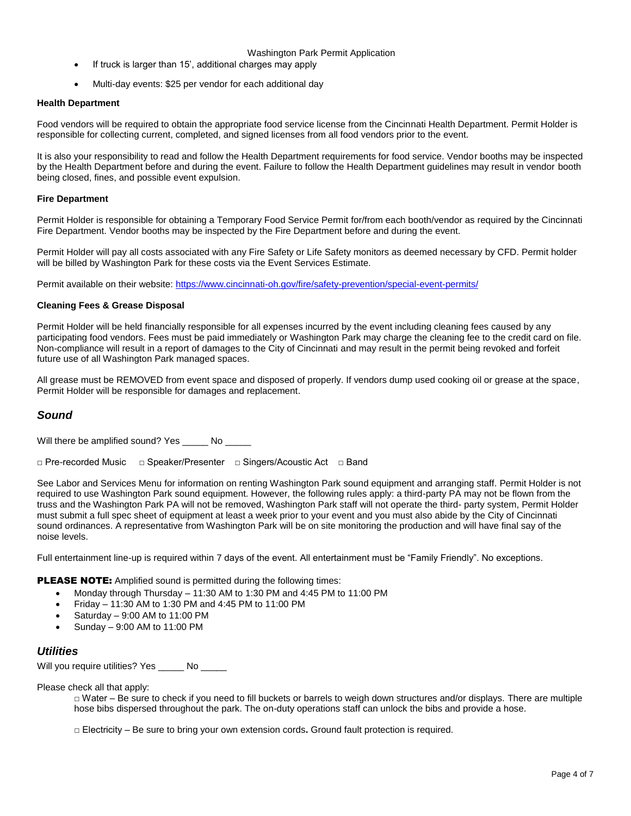#### Washington Park Permit Application

- If truck is larger than 15', additional charges may apply
- Multi-day events: \$25 per vendor for each additional day

#### **Health Department**

Food vendors will be required to obtain the appropriate food service license from the Cincinnati Health Department. Permit Holder is responsible for collecting current, completed, and signed licenses from all food vendors prior to the event.

It is also your responsibility to read and follow the Health Department requirements for food service. Vendor booths may be inspected by the Health Department before and during the event. Failure to follow the Health Department guidelines may result in vendor booth being closed, fines, and possible event expulsion.

#### **Fire Department**

Permit Holder is responsible for obtaining a Temporary Food Service Permit for/from each booth/vendor as required by the Cincinnati Fire Department. Vendor booths may be inspected by the Fire Department before and during the event.

Permit Holder will pay all costs associated with any Fire Safety or Life Safety monitors as deemed necessary by CFD. Permit holder will be billed by Washington Park for these costs via the Event Services Estimate.

Permit available on their website:<https://www.cincinnati-oh.gov/fire/safety-prevention/special-event-permits/>

#### **Cleaning Fees & Grease Disposal**

Permit Holder will be held financially responsible for all expenses incurred by the event including cleaning fees caused by any participating food vendors. Fees must be paid immediately or Washington Park may charge the cleaning fee to the credit card on file. Non-compliance will result in a report of damages to the City of Cincinnati and may result in the permit being revoked and forfeit future use of all Washington Park managed spaces.

All grease must be REMOVED from event space and disposed of properly. If vendors dump used cooking oil or grease at the space, Permit Holder will be responsible for damages and replacement.

## *Sound*

Will there be amplified sound? Yes No

□ Pre-recorded Music □ Speaker/Presenter □ Singers/Acoustic Act □ Band

See Labor and Services Menu for information on renting Washington Park sound equipment and arranging staff. Permit Holder is not required to use Washington Park sound equipment. However, the following rules apply: a third-party PA may not be flown from the truss and the Washington Park PA will not be removed, Washington Park staff will not operate the third- party system, Permit Holder must submit a full spec sheet of equipment at least a week prior to your event and you must also abide by the City of Cincinnati sound ordinances. A representative from Washington Park will be on site monitoring the production and will have final say of the noise levels.

Full entertainment line-up is required within 7 days of the event. All entertainment must be "Family Friendly". No exceptions.

**PLEASE NOTE:** Amplified sound is permitted during the following times:

- Monday through Thursday 11:30 AM to 1:30 PM and 4:45 PM to 11:00 PM
- Friday 11:30 AM to 1:30 PM and 4:45 PM to 11:00 PM
- Saturday 9:00 AM to 11:00 PM
- Sunday 9:00 AM to 11:00 PM

## *Utilities*

Will you require utilities? Yes No

Please check all that apply:

□ Water – Be sure to check if you need to fill buckets or barrels to weigh down structures and/or displays. There are multiple hose bibs dispersed throughout the park. The on-duty operations staff can unlock the bibs and provide a hose.

□ Electricity – Be sure to bring your own extension cords**.** Ground fault protection is required.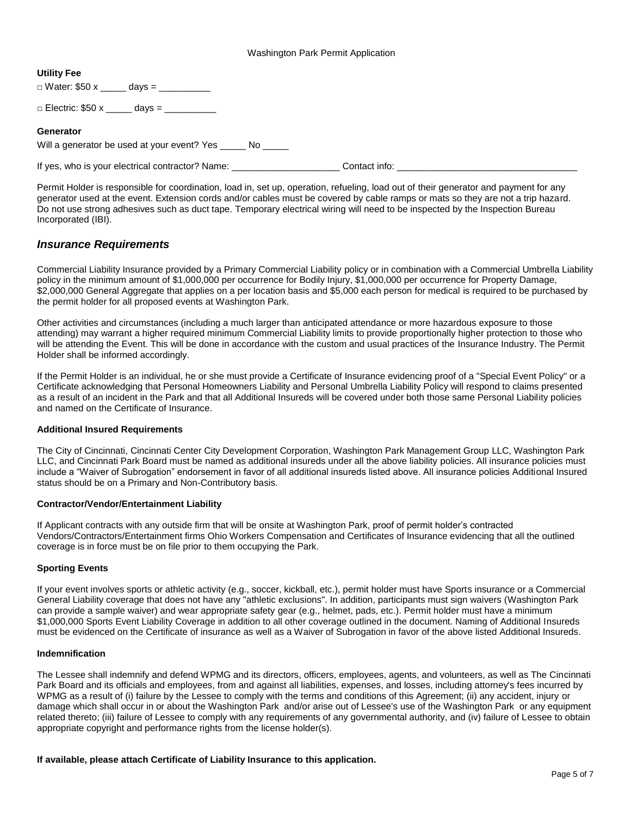#### Washington Park Permit Application

| <b>Utility Fee</b>                                                               |                                                                                                                                                                                                                                |
|----------------------------------------------------------------------------------|--------------------------------------------------------------------------------------------------------------------------------------------------------------------------------------------------------------------------------|
| $\Box$ Water: \$50 x ______ days = ____________                                  |                                                                                                                                                                                                                                |
| $\Box$ Electric: \$50 x ______ days = ___________                                |                                                                                                                                                                                                                                |
| Generator<br>Will a generator be used at your event? Yes _______ No ______       |                                                                                                                                                                                                                                |
| If yes, who is your electrical contractor? Name: _______________________________ | Contact info: the contact information of the contact information of the contact information of the contact of the contact of the contact of the contact of the contact of the contact of the contact of the contact of the con |

Permit Holder is responsible for coordination, load in, set up, operation, refueling, load out of their generator and payment for any generator used at the event. Extension cords and/or cables must be covered by cable ramps or mats so they are not a trip hazard. Do not use strong adhesives such as duct tape. Temporary electrical wiring will need to be inspected by the Inspection Bureau Incorporated (IBI).

## *Insurance Requirements*

Commercial Liability Insurance provided by a Primary Commercial Liability policy or in combination with a Commercial Umbrella Liability policy in the minimum amount of \$1,000,000 per occurrence for Bodily Injury, \$1,000,000 per occurrence for Property Damage, \$2,000,000 General Aggregate that applies on a per location basis and \$5,000 each person for medical is required to be purchased by the permit holder for all proposed events at Washington Park.

Other activities and circumstances (including a much larger than anticipated attendance or more hazardous exposure to those attending) may warrant a higher required minimum Commercial Liability limits to provide proportionally higher protection to those who will be attending the Event. This will be done in accordance with the custom and usual practices of the Insurance Industry. The Permit Holder shall be informed accordingly.

If the Permit Holder is an individual, he or she must provide a Certificate of Insurance evidencing proof of a "Special Event Policy" or a Certificate acknowledging that Personal Homeowners Liability and Personal Umbrella Liability Policy will respond to claims presented as a result of an incident in the Park and that all Additional Insureds will be covered under both those same Personal Liability policies and named on the Certificate of Insurance.

## **Additional Insured Requirements**

The City of Cincinnati, Cincinnati Center City Development Corporation, Washington Park Management Group LLC, Washington Park LLC, and Cincinnati Park Board must be named as additional insureds under all the above liability policies. All insurance policies must include a "Waiver of Subrogation" endorsement in favor of all additional insureds listed above. All insurance policies Additional Insured status should be on a Primary and Non-Contributory basis.

## **Contractor/Vendor/Entertainment Liability**

If Applicant contracts with any outside firm that will be onsite at Washington Park, proof of permit holder's contracted Vendors/Contractors/Entertainment firms Ohio Workers Compensation and Certificates of Insurance evidencing that all the outlined coverage is in force must be on file prior to them occupying the Park.

## **Sporting Events**

If your event involves sports or athletic activity (e.g., soccer, kickball, etc.), permit holder must have Sports insurance or a Commercial General Liability coverage that does not have any "athletic exclusions". In addition, participants must sign waivers (Washington Park can provide a sample waiver) and wear appropriate safety gear (e.g., helmet, pads, etc.). Permit holder must have a minimum \$1,000,000 Sports Event Liability Coverage in addition to all other coverage outlined in the document. Naming of Additional Insureds must be evidenced on the Certificate of insurance as well as a Waiver of Subrogation in favor of the above listed Additional Insureds.

#### **Indemnification**

The Lessee shall indemnify and defend WPMG and its directors, officers, employees, agents, and volunteers, as well as The Cincinnati Park Board and its officials and employees, from and against all liabilities, expenses, and losses, including attorney's fees incurred by WPMG as a result of (i) failure by the Lessee to comply with the terms and conditions of this Agreement; (ii) any accident, injury or damage which shall occur in or about the Washington Park and/or arise out of Lessee's use of the Washington Park or any equipment related thereto; (iii) failure of Lessee to comply with any requirements of any governmental authority, and (iv) failure of Lessee to obtain appropriate copyright and performance rights from the license holder(s).

**If available, please attach Certificate of Liability Insurance to this application.**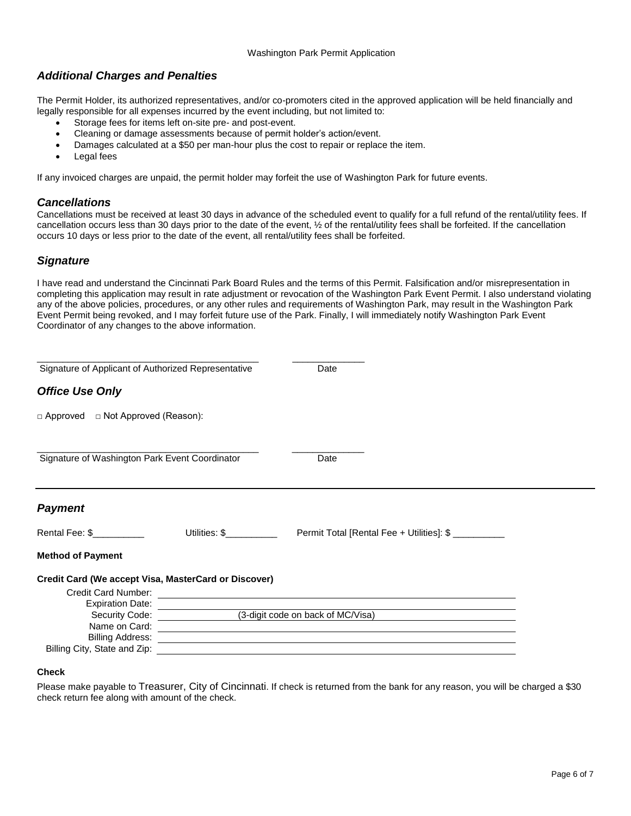# *Additional Charges and Penalties*

The Permit Holder, its authorized representatives, and/or co-promoters cited in the approved application will be held financially and legally responsible for all expenses incurred by the event including, but not limited to:

- Storage fees for items left on-site pre- and post-event.
- Cleaning or damage assessments because of permit holder's action/event.
- Damages calculated at a \$50 per man-hour plus the cost to repair or replace the item.
- Legal fees

If any invoiced charges are unpaid, the permit holder may forfeit the use of Washington Park for future events.

## *Cancellations*

Cancellations must be received at least 30 days in advance of the scheduled event to qualify for a full refund of the rental/utility fees. If cancellation occurs less than 30 days prior to the date of the event, ½ of the rental/utility fees shall be forfeited. If the cancellation occurs 10 days or less prior to the date of the event, all rental/utility fees shall be forfeited.

# *Signature*

I have read and understand the Cincinnati Park Board Rules and the terms of this Permit. Falsification and/or misrepresentation in completing this application may result in rate adjustment or revocation of the Washington Park Event Permit. I also understand violating any of the above policies, procedures, or any other rules and requirements of Washington Park, may result in the Washington Park Event Permit being revoked, and I may forfeit future use of the Park. Finally, I will immediately notify Washington Park Event Coordinator of any changes to the above information.

| Signature of Applicant of Authorized Representative                         |               | Date                                                          |  |
|-----------------------------------------------------------------------------|---------------|---------------------------------------------------------------|--|
| <b>Office Use Only</b>                                                      |               |                                                               |  |
| □ Approved □ Not Approved (Reason):                                         |               |                                                               |  |
| Signature of Washington Park Event Coordinator                              |               | Date                                                          |  |
| <b>Payment</b>                                                              |               |                                                               |  |
| Rental Fee: \$                                                              | Utilities: \$ | Permit Total [Rental Fee + Utilities]: \$                     |  |
| <b>Method of Payment</b>                                                    |               |                                                               |  |
| Credit Card (We accept Visa, MasterCard or Discover)<br>Credit Card Number: |               |                                                               |  |
| <b>Expiration Date:</b>                                                     |               | <u> 1989 - Andrea Stadt Britain, fransk politik (d. 1989)</u> |  |
| Security Code: Security Code:                                               |               | (3-digit code on back of MC/Visa)                             |  |
| Name on Card:                                                               |               |                                                               |  |
| <b>Billing Address:</b>                                                     |               |                                                               |  |
| Billing City, State and Zip:                                                |               |                                                               |  |

## **Check**

Please make payable to Treasurer, City of Cincinnati. If check is returned from the bank for any reason, you will be charged a \$30 check return fee along with amount of the check.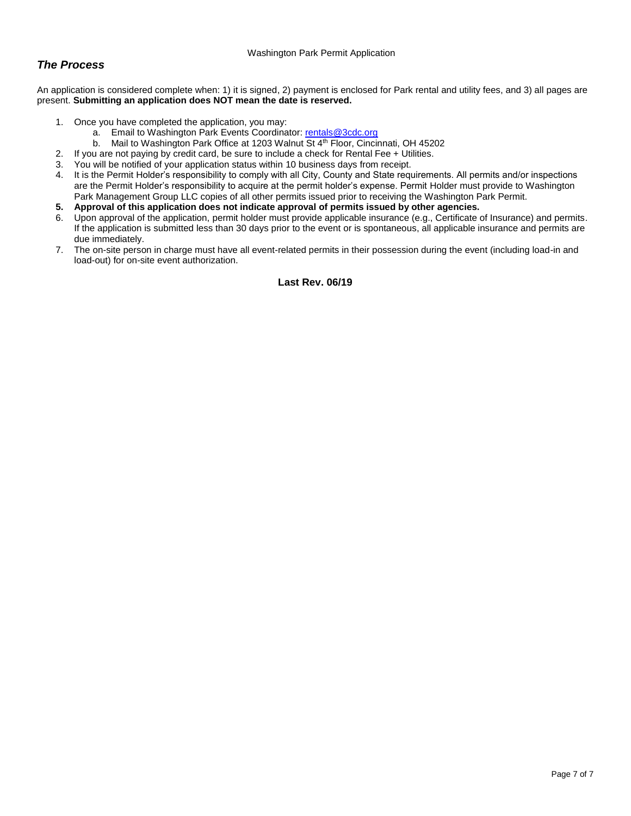# *The Process*

An application is considered complete when: 1) it is signed, 2) payment is enclosed for Park rental and utility fees, and 3) all pages are present. **Submitting an application does NOT mean the date is reserved.**

- 1. Once you have completed the application, you may:
	- a. Email to Washington Park Events Coordinator: [rentals@3cdc.org](mailto:rentals@3cdc.org)
	- b. Mail to Washington Park Office at 1203 Walnut St 4<sup>th</sup> Floor, Cincinnati, OH 45202
- 2. If you are not paying by credit card, be sure to include a check for Rental Fee + Utilities.
- 3. You will be notified of your application status within 10 business days from receipt.
- 4. It is the Permit Holder's responsibility to comply with all City, County and State requirements. All permits and/or inspections are the Permit Holder's responsibility to acquire at the permit holder's expense. Permit Holder must provide to Washington Park Management Group LLC copies of all other permits issued prior to receiving the Washington Park Permit.
- **5. Approval of this application does not indicate approval of permits issued by other agencies.**
- 6. Upon approval of the application, permit holder must provide applicable insurance (e.g., Certificate of Insurance) and permits. If the application is submitted less than 30 days prior to the event or is spontaneous, all applicable insurance and permits are due immediately.
- 7. The on-site person in charge must have all event-related permits in their possession during the event (including load-in and load-out) for on-site event authorization.

**Last Rev. 06/19**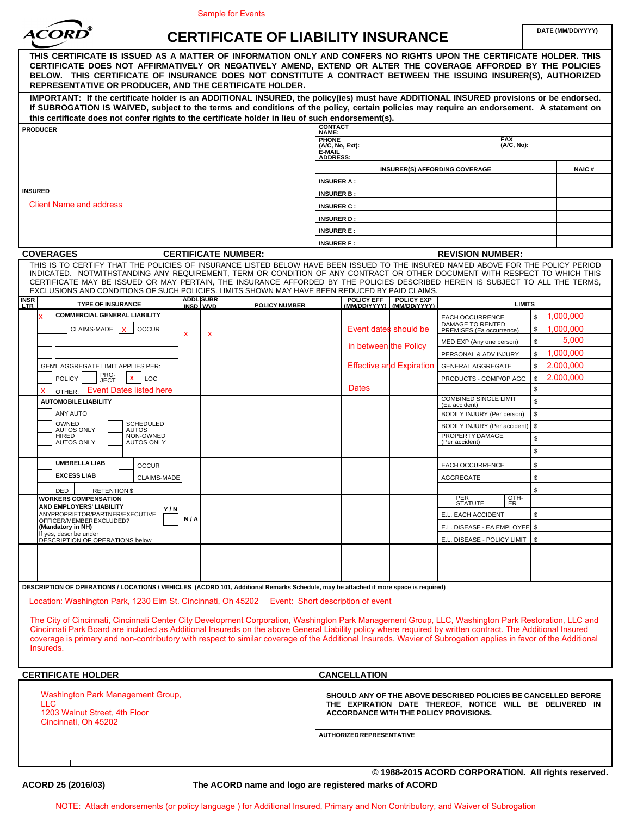

# CERTIFICATE OF LIABILITY INSURANCE

|                                                                                                                                                                                                                                                                                                                                                                                                                                                                                                    |                  | <b>Sample for Events</b>                  |                                                                                                                                                                             |                                 |                                                   |              |                    |
|----------------------------------------------------------------------------------------------------------------------------------------------------------------------------------------------------------------------------------------------------------------------------------------------------------------------------------------------------------------------------------------------------------------------------------------------------------------------------------------------------|------------------|-------------------------------------------|-----------------------------------------------------------------------------------------------------------------------------------------------------------------------------|---------------------------------|---------------------------------------------------|--------------|--------------------|
|                                                                                                                                                                                                                                                                                                                                                                                                                                                                                                    |                  | <b>CERTIFICATE OF LIABILITY INSURANCE</b> |                                                                                                                                                                             |                                 |                                                   |              | DATE (MM/DD/YYYY)  |
| THIS CERTIFICATE IS ISSUED AS A MATTER OF INFORMATION ONLY AND CONFERS NO RIGHTS UPON THE CERTIFICATE HOLDER. THIS<br>CERTIFICATE DOES NOT AFFIRMATIVELY OR NEGATIVELY AMEND, EXTEND OR ALTER THE COVERAGE AFFORDED BY THE POLICIES<br>BELOW. THIS CERTIFICATE OF INSURANCE DOES NOT CONSTITUTE A CONTRACT BETWEEN THE ISSUING INSURER(S), AUTHORIZED<br>REPRESENTATIVE OR PRODUCER, AND THE CERTIFICATE HOLDER.                                                                                   |                  |                                           |                                                                                                                                                                             |                                 |                                                   |              |                    |
| IMPORTANT: If the certificate holder is an ADDITIONAL INSURED, the policy(ies) must have ADDITIONAL INSURED provisions or be endorsed.<br>If SUBROGATION IS WAIVED, subject to the terms and conditions of the policy, certain policies may require an endorsement. A statement on<br>this certificate does not confer rights to the certificate holder in lieu of such endorsement(s).                                                                                                            |                  |                                           |                                                                                                                                                                             |                                 |                                                   |              |                    |
| <b>PRODUCER</b>                                                                                                                                                                                                                                                                                                                                                                                                                                                                                    |                  |                                           | <b>CONTACT</b><br>NAME:                                                                                                                                                     |                                 |                                                   |              |                    |
|                                                                                                                                                                                                                                                                                                                                                                                                                                                                                                    |                  |                                           | PHONE<br>(A/C, No, Ext):                                                                                                                                                    |                                 | <b>FAX</b><br>(A/C, No):                          |              |                    |
|                                                                                                                                                                                                                                                                                                                                                                                                                                                                                                    |                  |                                           | E-MAIL<br><b>ADDRESS:</b>                                                                                                                                                   |                                 |                                                   |              |                    |
|                                                                                                                                                                                                                                                                                                                                                                                                                                                                                                    |                  |                                           |                                                                                                                                                                             |                                 | <b>INSURER(S) AFFORDING COVERAGE</b>              |              | <b>NAIC#</b>       |
|                                                                                                                                                                                                                                                                                                                                                                                                                                                                                                    |                  |                                           | <b>INSURER A:</b>                                                                                                                                                           |                                 |                                                   |              |                    |
| <b>INSURED</b><br><b>Client Name and address</b>                                                                                                                                                                                                                                                                                                                                                                                                                                                   |                  |                                           | <b>INSURER B:</b>                                                                                                                                                           |                                 |                                                   |              |                    |
|                                                                                                                                                                                                                                                                                                                                                                                                                                                                                                    |                  |                                           | <b>INSURER C:</b><br><b>INSURER D:</b>                                                                                                                                      |                                 |                                                   |              |                    |
|                                                                                                                                                                                                                                                                                                                                                                                                                                                                                                    |                  |                                           | <b>INSURER E:</b>                                                                                                                                                           |                                 |                                                   |              |                    |
|                                                                                                                                                                                                                                                                                                                                                                                                                                                                                                    |                  |                                           | <b>INSURER F:</b>                                                                                                                                                           |                                 |                                                   |              |                    |
| <b>COVERAGES</b>                                                                                                                                                                                                                                                                                                                                                                                                                                                                                   |                  | <b>CERTIFICATE NUMBER:</b>                |                                                                                                                                                                             |                                 | <b>REVISION NUMBER:</b>                           |              |                    |
| THIS IS TO CERTIFY THAT THE POLICIES OF INSURANCE LISTED BELOW HAVE BEEN ISSUED TO THE INSURED NAMED ABOVE FOR THE POLICY PERIOD<br>INDICATED. NOTWITHSTANDING ANY REQUIREMENT, TERM OR CONDITION OF ANY CONTRACT OR OTHER DOCUMENT WITH RESPECT TO WHICH THIS<br>CERTIFICATE MAY BE ISSUED OR MAY PERTAIN, THE INSURANCE AFFORDED BY THE POLICIES DESCRIBED HEREIN IS SUBJECT TO ALL THE TERMS,<br>EXCLUSIONS AND CONDITIONS OF SUCH POLICIES. LIMITS SHOWN MAY HAVE BEEN REDUCED BY PAID CLAIMS. | <b>ADDL SUBR</b> |                                           |                                                                                                                                                                             | <b>POLICY EXP</b>               |                                                   |              |                    |
| <b>INSR</b><br><b>TYPE OF INSURANCE</b><br><b>LTR</b>                                                                                                                                                                                                                                                                                                                                                                                                                                              | INSD WVD         | <b>POLICY NUMBER</b>                      | <b>POLICY EFF</b><br>(MM/DD/YYYY)                                                                                                                                           | (MM/DD/YYYY)                    | <b>LIMITS</b>                                     |              |                    |
| <b>COMMERCIAL GENERAL LIABILITY</b>                                                                                                                                                                                                                                                                                                                                                                                                                                                                |                  |                                           |                                                                                                                                                                             |                                 | <b>EACH OCCURRENCE</b><br><b>DAMAGE TO RENTED</b> | \$           | 1,000,000          |
| CLAIMS-MADE<br>$\mathsf{x}$<br><b>OCCUR</b>                                                                                                                                                                                                                                                                                                                                                                                                                                                        | x<br>x           |                                           |                                                                                                                                                                             | Event dates should be           | PREMISES (Ea occurrence)                          | \$           | 1,000,000<br>5,000 |
|                                                                                                                                                                                                                                                                                                                                                                                                                                                                                                    |                  |                                           |                                                                                                                                                                             | in between the Policy           | MED EXP (Any one person)<br>PERSONAL & ADV INJURY | \$<br>\$     | 1,000,000          |
| GEN'L AGGREGATE LIMIT APPLIES PER:                                                                                                                                                                                                                                                                                                                                                                                                                                                                 |                  |                                           |                                                                                                                                                                             | <b>Effective and Expiration</b> | <b>GENERAL AGGREGATE</b>                          | $\mathbf{s}$ | 2,000,000          |
| PRO-<br>JECT<br>$\mathbf{x}$<br>LOC<br><b>POLICY</b>                                                                                                                                                                                                                                                                                                                                                                                                                                               |                  |                                           |                                                                                                                                                                             |                                 | PRODUCTS - COMP/OP AGG                            | \$           | 2,000,000          |
| OTHER: Event Dates listed here<br>x                                                                                                                                                                                                                                                                                                                                                                                                                                                                |                  |                                           | <b>Dates</b>                                                                                                                                                                |                                 |                                                   | \$           |                    |
| <b>AUTOMOBILE LIABILITY</b>                                                                                                                                                                                                                                                                                                                                                                                                                                                                        |                  |                                           |                                                                                                                                                                             |                                 | <b>COMBINED SINGLE LIMIT</b><br>(Ea accident)     | \$           |                    |
| ANY AUTO                                                                                                                                                                                                                                                                                                                                                                                                                                                                                           |                  |                                           |                                                                                                                                                                             |                                 | BODILY INJURY (Per person)                        | \$           |                    |
| OWNED<br><b>SCHEDULED</b><br><b>AUTOS ONLY</b><br><b>AUTOS</b><br><b>HIRED</b><br>NON-OWNED                                                                                                                                                                                                                                                                                                                                                                                                        |                  |                                           |                                                                                                                                                                             |                                 | BODILY INJURY (Per accident)<br>PROPERTY DAMAGE   | \$           |                    |
| <b>AUTOS ONLY</b><br><b>AUTOS ONLY</b>                                                                                                                                                                                                                                                                                                                                                                                                                                                             |                  |                                           |                                                                                                                                                                             |                                 | (Per accident)                                    | \$<br>\$     |                    |
| <b>UMBRELLA LIAB</b>                                                                                                                                                                                                                                                                                                                                                                                                                                                                               |                  |                                           |                                                                                                                                                                             |                                 |                                                   |              |                    |
| <b>OCCUR</b><br><b>EXCESS LIAB</b><br>CLAIMS-MADE                                                                                                                                                                                                                                                                                                                                                                                                                                                  |                  |                                           |                                                                                                                                                                             |                                 | <b>EACH OCCURRENCE</b><br>AGGREGATE               | \$<br>\$     |                    |
| <b>RETENTION \$</b><br>DED                                                                                                                                                                                                                                                                                                                                                                                                                                                                         |                  |                                           |                                                                                                                                                                             |                                 |                                                   | \$           |                    |
| <b>WORKERS COMPENSATION</b><br><b>AND EMPLOYERS' LIABILITY</b>                                                                                                                                                                                                                                                                                                                                                                                                                                     |                  |                                           |                                                                                                                                                                             |                                 | $_{ER}^{OTH}$<br>PER<br>STATUTE                   |              |                    |
| Y/N<br>ANYPROPRIETOR/PARTNER/EXECUTIVE<br>OFFICER/MEMBER EXCLUDED?                                                                                                                                                                                                                                                                                                                                                                                                                                 | N/A              |                                           |                                                                                                                                                                             |                                 | E.L. EACH ACCIDENT                                | \$           |                    |
| (Mandatory in NH)<br>If yes, describe under                                                                                                                                                                                                                                                                                                                                                                                                                                                        |                  |                                           |                                                                                                                                                                             |                                 | E.L. DISEASE - EA EMPLOYEE   \$                   |              |                    |
| DÉSCRIPTION OF OPERATIONS below                                                                                                                                                                                                                                                                                                                                                                                                                                                                    |                  |                                           |                                                                                                                                                                             |                                 | E.L. DISEASE - POLICY LIMIT   \$                  |              |                    |
|                                                                                                                                                                                                                                                                                                                                                                                                                                                                                                    |                  |                                           |                                                                                                                                                                             |                                 |                                                   |              |                    |
| DESCRIPTION OF OPERATIONS / LOCATIONS / VEHICLES (ACORD 101, Additional Remarks Schedule, may be attached if more space is required)                                                                                                                                                                                                                                                                                                                                                               |                  |                                           |                                                                                                                                                                             |                                 |                                                   |              |                    |
| Location: Washington Park, 1230 Elm St. Cincinnati, Oh 45202 Event: Short description of event                                                                                                                                                                                                                                                                                                                                                                                                     |                  |                                           |                                                                                                                                                                             |                                 |                                                   |              |                    |
| The City of Cincinnati, Cincinnati Center City Development Corporation, Washington Park Management Group, LLC, Washington Park Restoration, LLC and<br>Cincinnati Park Board are included as Additional Insureds on the above General Liability policy where required by written contract. The Additional Insured<br>coverage is primary and non-contributory with respect to similar coverage of the Additional Insureds. Wavier of Subrogation applies in favor of the Additional<br>Insureds.   |                  |                                           |                                                                                                                                                                             |                                 |                                                   |              |                    |
| <b>CERTIFICATE HOLDER</b>                                                                                                                                                                                                                                                                                                                                                                                                                                                                          |                  |                                           | <b>CANCELLATION</b>                                                                                                                                                         |                                 |                                                   |              |                    |
| Washington Park Management Group,<br><b>LLC</b><br>1203 Walnut Street, 4th Floor<br>Cincinnati, Oh 45202                                                                                                                                                                                                                                                                                                                                                                                           |                  |                                           | SHOULD ANY OF THE ABOVE DESCRIBED POLICIES BE CANCELLED BEFORE<br>THE EXPIRATION DATE THEREOF, NOTICE WILL BE DELIVERED IN<br><b>ACCORDANCE WITH THE POLICY PROVISIONS.</b> |                                 |                                                   |              |                    |
|                                                                                                                                                                                                                                                                                                                                                                                                                                                                                                    |                  |                                           | AUTHORIZED REPRESENTATIVE                                                                                                                                                   |                                 |                                                   |              |                    |

**ACORD 25 (2016/03)**

**The ACORD name and logo are registered marks of ACORD**

**© 1988-2015 ACORD CORPORATION. All rights reserved.**